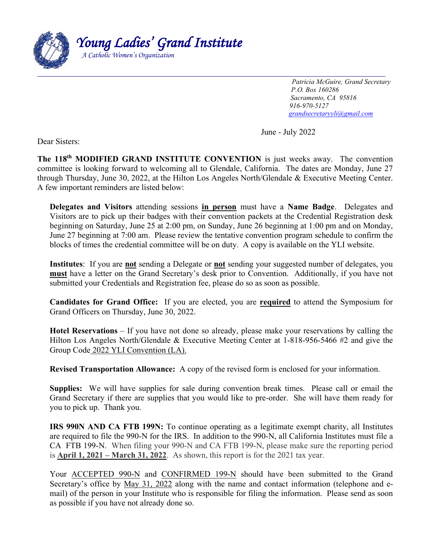

 *Patricia McGuire, Grand Secretary P.O. Box 160286 Sacramento, CA 95816 916-970-5127 [grandsecretaryyli@gmail.com](mailto:grandsecretaryyli@gmail.com)*

June - July 2022

Dear Sisters:

**The 118th MODIFIED GRAND INSTITUTE CONVENTION** is just weeks away. The convention committee is looking forward to welcoming all to Glendale, California. The dates are Monday, June 27 through Thursday, June 30, 2022, at the Hilton Los Angeles North/Glendale & Executive Meeting Center. A few important reminders are listed below:

**Delegates and Visitors** attending sessions **in person** must have a **Name Badge**.Delegates and Visitors are to pick up their badges with their convention packets at the Credential Registration desk beginning on Saturday, June 25 at 2:00 pm, on Sunday, June 26 beginning at 1:00 pm and on Monday, June 27 beginning at 7:00 am. Please review the tentative convention program schedule to confirm the blocks of times the credential committee will be on duty. A copy is available on the YLI website.

**Institutes**: If you are **not** sending a Delegate or **not** sending your suggested number of delegates, you **must** have a letter on the Grand Secretary's desk prior to Convention. Additionally, if you have not submitted your Credentials and Registration fee, please do so as soon as possible.

**Candidates for Grand Office:** If you are elected, you are **required** to attend the Symposium for Grand Officers on Thursday, June 30, 2022.

**Hotel Reservations** – If you have not done so already, please make your reservations by calling the Hilton Los Angeles North/Glendale & Executive Meeting Center at 1-818-956-5466 #2 and give the Group Code 2022 YLI Convention (LA).

**Revised Transportation Allowance:** A copy of the revised form is enclosed for your information.

**Supplies:** We will have supplies for sale during convention break times. Please call or email the Grand Secretary if there are supplies that you would like to pre-order. She will have them ready for you to pick up. Thank you.

**IRS 990N AND CA FTB 199N:** To continue operating as a legitimate exempt charity, all Institutes are required to file the 990-N for the IRS. In addition to the 990-N, all California Institutes must file a CA FTB 199-N. When filing your 990-N and CA FTB 199-N, please make sure the reporting period is **April 1, 2021 – March 31, 2022**. As shown, this report is for the 2021 tax year.

Your **ACCEPTED 990-N** and **CONFIRMED 199-N** should have been submitted to the Grand Secretary's office by May 31, 2022 along with the name and contact information (telephone and email) of the person in your Institute who is responsible for filing the information. Please send as soon as possible if you have not already done so.